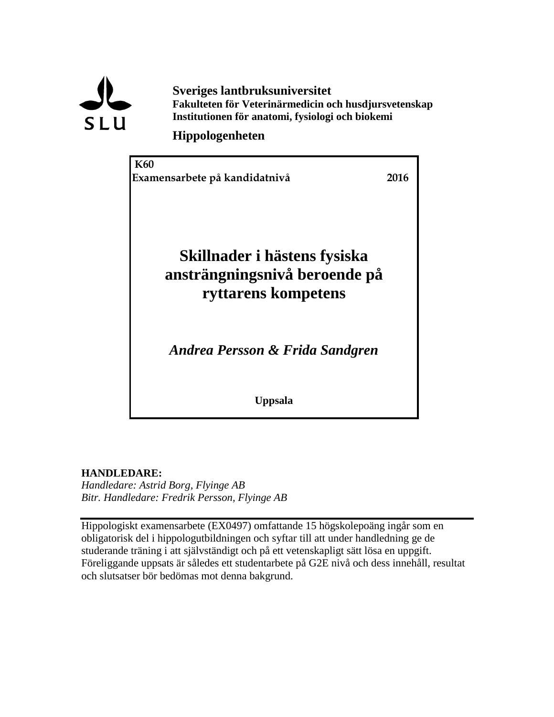

**Sveriges lantbruksuniversitet Fakulteten för Veterinärmedicin och husdjursvetenskap Institutionen för anatomi, fysiologi och biokemi**

### **Hippologenheten**



**HANDLEDARE:**

*Handledare: Astrid Borg, Flyinge AB Bitr. Handledare: Fredrik Persson, Flyinge AB*

Hippologiskt examensarbete (EX0497) omfattande 15 högskolepoäng ingår som en obligatorisk del i hippologutbildningen och syftar till att under handledning ge de studerande träning i att självständigt och på ett vetenskapligt sätt lösa en uppgift. Föreliggande uppsats är således ett studentarbete på G2E nivå och dess innehåll, resultat och slutsatser bör bedömas mot denna bakgrund.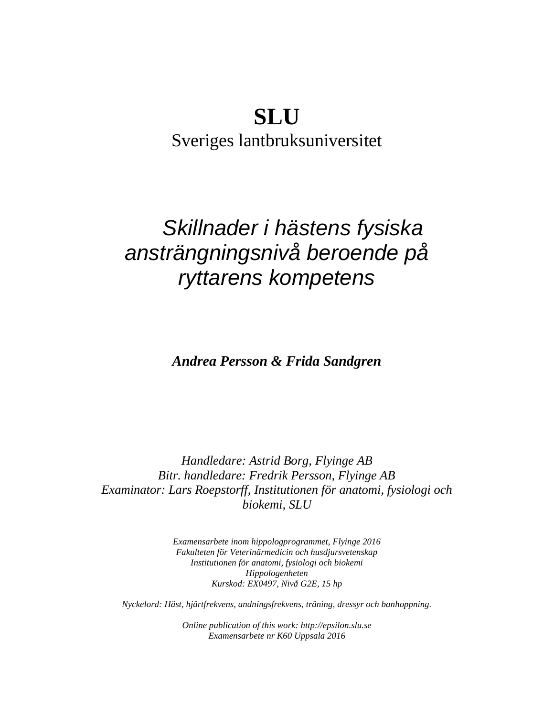# **SLU**

Sveriges lantbruksuniversitet

# *Skillnader i hästens fysiska ansträngningsnivå beroende på ryttarens kompetens*

*Andrea Persson & Frida Sandgren*

*Handledare: Astrid Borg, Flyinge AB Bitr. handledare: Fredrik Persson, Flyinge AB Examinator: Lars Roepstorff, Institutionen för anatomi, fysiologi och biokemi, SLU*

> *Examensarbete inom hippologprogrammet, Flyinge 2016 Fakulteten för Veterinärmedicin och husdjursvetenskap Institutionen för anatomi, fysiologi och biokemi Hippologenheten Kurskod: EX0497, Nivå G2E, 15 hp*

*Nyckelord: Häst, hjärtfrekvens, andningsfrekvens, träning, dressyr och banhoppning.*

*Online publication of this work: http://epsilon.slu.se Examensarbete nr K60 Uppsala 2016*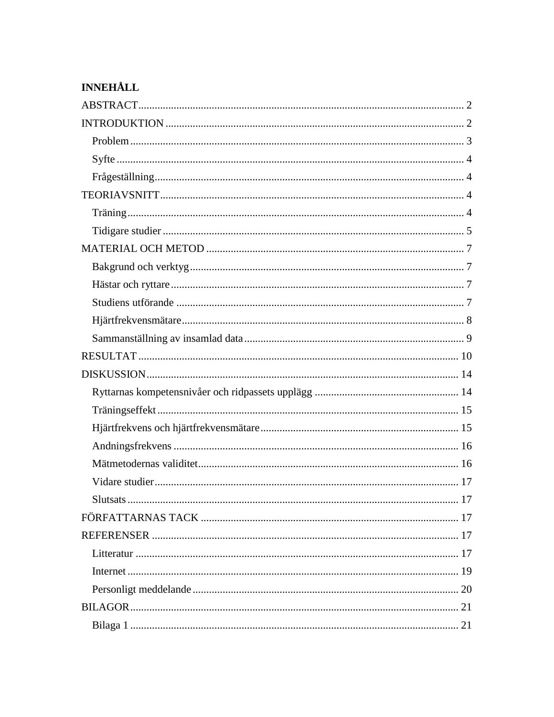# **INNEHÅLL**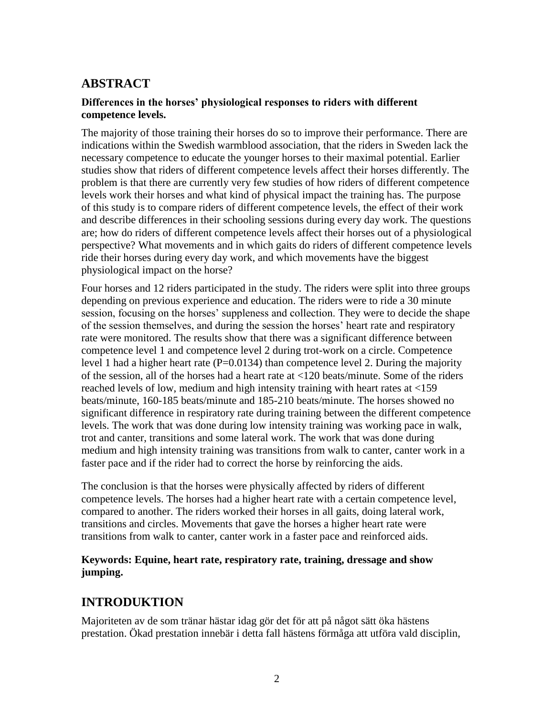### <span id="page-3-0"></span>**ABSTRACT**

#### **Differences in the horses' physiological responses to riders with different competence levels.**

The majority of those training their horses do so to improve their performance. There are indications within the Swedish warmblood association, that the riders in Sweden lack the necessary competence to educate the younger horses to their maximal potential. Earlier studies show that riders of different competence levels affect their horses differently. The problem is that there are currently very few studies of how riders of different competence levels work their horses and what kind of physical impact the training has. The purpose of this study is to compare riders of different competence levels, the effect of their work and describe differences in their schooling sessions during every day work. The questions are; how do riders of different competence levels affect their horses out of a physiological perspective? What movements and in which gaits do riders of different competence levels ride their horses during every day work, and which movements have the biggest physiological impact on the horse?

Four horses and 12 riders participated in the study. The riders were split into three groups depending on previous experience and education. The riders were to ride a 30 minute session, focusing on the horses' suppleness and collection. They were to decide the shape of the session themselves, and during the session the horses' heart rate and respiratory rate were monitored. The results show that there was a significant difference between competence level 1 and competence level 2 during trot-work on a circle. Competence level 1 had a higher heart rate  $(P=0.0134)$  than competence level 2. During the majority of the session, all of the horses had a heart rate at <120 beats/minute. Some of the riders reached levels of low, medium and high intensity training with heart rates at <159 beats/minute, 160-185 beats/minute and 185-210 beats/minute. The horses showed no significant difference in respiratory rate during training between the different competence levels. The work that was done during low intensity training was working pace in walk, trot and canter, transitions and some lateral work. The work that was done during medium and high intensity training was transitions from walk to canter, canter work in a faster pace and if the rider had to correct the horse by reinforcing the aids.

The conclusion is that the horses were physically affected by riders of different competence levels. The horses had a higher heart rate with a certain competence level, compared to another. The riders worked their horses in all gaits, doing lateral work, transitions and circles. Movements that gave the horses a higher heart rate were transitions from walk to canter, canter work in a faster pace and reinforced aids.

#### **Keywords: Equine, heart rate, respiratory rate, training, dressage and show jumping.**

# <span id="page-3-1"></span>**INTRODUKTION**

Majoriteten av de som tränar hästar idag gör det för att på något sätt öka hästens prestation. Ökad prestation innebär i detta fall hästens förmåga att utföra vald disciplin,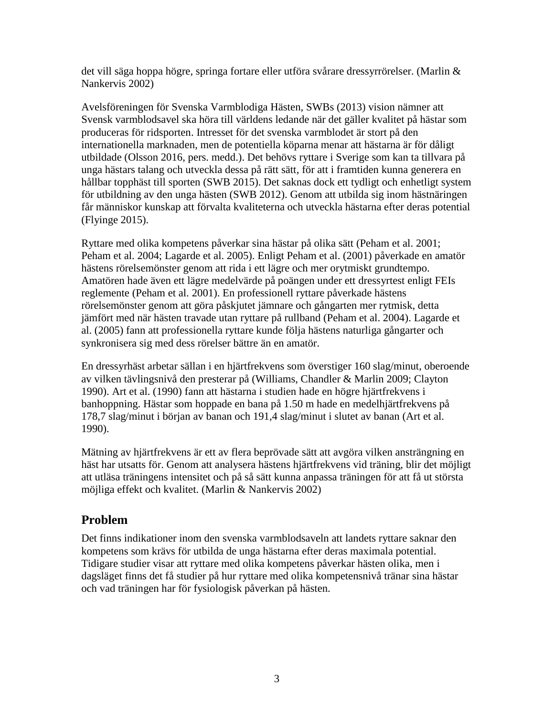det vill säga hoppa högre, springa fortare eller utföra svårare dressyrrörelser. (Marlin & Nankervis 2002)

Avelsföreningen för Svenska Varmblodiga Hästen, SWBs (2013) vision nämner att Svensk varmblodsavel ska höra till världens ledande när det gäller kvalitet på hästar som produceras för ridsporten. Intresset för det svenska varmblodet är stort på den internationella marknaden, men de potentiella köparna menar att hästarna är för dåligt utbildade (Olsson 2016, pers. medd.). Det behövs ryttare i Sverige som kan ta tillvara på unga hästars talang och utveckla dessa på rätt sätt, för att i framtiden kunna generera en hållbar topphäst till sporten (SWB 2015). Det saknas dock ett tydligt och enhetligt system för utbildning av den unga hästen (SWB 2012). Genom att utbilda sig inom hästnäringen får människor kunskap att förvalta kvaliteterna och utveckla hästarna efter deras potential (Flyinge 2015).

Ryttare med olika kompetens påverkar sina hästar på olika sätt (Peham et al. 2001; Peham et al. 2004; Lagarde et al. 2005). Enligt Peham et al. (2001) påverkade en amatör hästens rörelsemönster genom att rida i ett lägre och mer orytmiskt grundtempo. Amatören hade även ett lägre medelvärde på poängen under ett dressyrtest enligt FEIs reglemente (Peham et al. 2001). En professionell ryttare påverkade hästens rörelsemönster genom att göra påskjutet jämnare och gångarten mer rytmisk, detta jämfört med när hästen travade utan ryttare på rullband (Peham et al. 2004). Lagarde et al. (2005) fann att professionella ryttare kunde följa hästens naturliga gångarter och synkronisera sig med dess rörelser bättre än en amatör.

En dressyrhäst arbetar sällan i en hjärtfrekvens som överstiger 160 slag/minut, oberoende av vilken tävlingsnivå den presterar på (Williams, Chandler & Marlin 2009; Clayton 1990). Art et al. (1990) fann att hästarna i studien hade en högre hjärtfrekvens i banhoppning. Hästar som hoppade en bana på 1.50 m hade en medelhjärtfrekvens på 178,7 slag/minut i början av banan och 191,4 slag/minut i slutet av banan (Art et al. 1990).

Mätning av hjärtfrekvens är ett av flera beprövade sätt att avgöra vilken ansträngning en häst har utsatts för. Genom att analysera hästens hjärtfrekvens vid träning, blir det möjligt att utläsa träningens intensitet och på så sätt kunna anpassa träningen för att få ut största möjliga effekt och kvalitet. (Marlin & Nankervis 2002)

### <span id="page-4-0"></span>**Problem**

Det finns indikationer inom den svenska varmblodsaveln att landets ryttare saknar den kompetens som krävs för utbilda de unga hästarna efter deras maximala potential. Tidigare studier visar att ryttare med olika kompetens påverkar hästen olika, men i dagsläget finns det få studier på hur ryttare med olika kompetensnivå tränar sina hästar och vad träningen har för fysiologisk påverkan på hästen.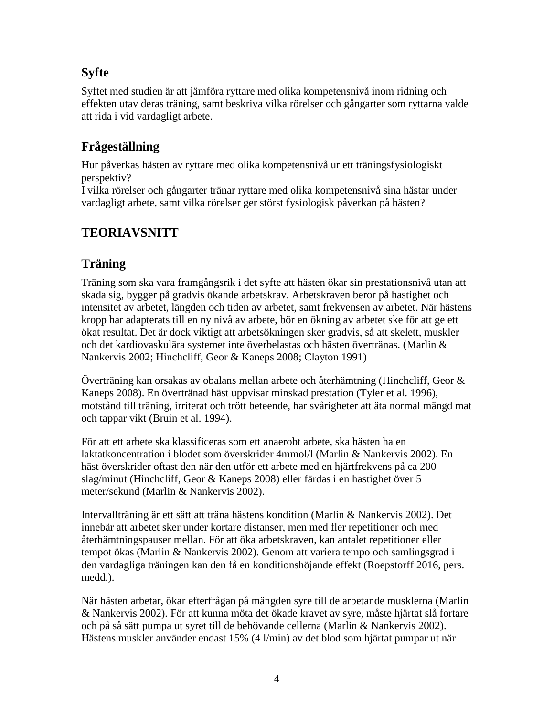# <span id="page-5-0"></span>**Syfte**

Syftet med studien är att jämföra ryttare med olika kompetensnivå inom ridning och effekten utav deras träning, samt beskriva vilka rörelser och gångarter som ryttarna valde att rida i vid vardagligt arbete.

# <span id="page-5-1"></span>**Frågeställning**

Hur påverkas hästen av ryttare med olika kompetensnivå ur ett träningsfysiologiskt perspektiv?

I vilka rörelser och gångarter tränar ryttare med olika kompetensnivå sina hästar under vardagligt arbete, samt vilka rörelser ger störst fysiologisk påverkan på hästen?

# <span id="page-5-2"></span>**TEORIAVSNITT**

# <span id="page-5-3"></span>**Träning**

Träning som ska vara framgångsrik i det syfte att hästen ökar sin prestationsnivå utan att skada sig, bygger på gradvis ökande arbetskrav. Arbetskraven beror på hastighet och intensitet av arbetet, längden och tiden av arbetet, samt frekvensen av arbetet. När hästens kropp har adapterats till en ny nivå av arbete, bör en ökning av arbetet ske för att ge ett ökat resultat. Det är dock viktigt att arbetsökningen sker gradvis, så att skelett, muskler och det kardiovaskulära systemet inte överbelastas och hästen övertränas. (Marlin & Nankervis 2002; Hinchcliff, Geor & Kaneps 2008; Clayton 1991)

Överträning kan orsakas av obalans mellan arbete och återhämtning (Hinchcliff, Geor & Kaneps 2008). En övertränad häst uppvisar minskad prestation (Tyler et al. 1996), motstånd till träning, irriterat och trött beteende, har svårigheter att äta normal mängd mat och tappar vikt (Bruin et al. 1994).

För att ett arbete ska klassificeras som ett anaerobt arbete, ska hästen ha en laktatkoncentration i blodet som överskrider 4mmol/l (Marlin & Nankervis 2002). En häst överskrider oftast den när den utför ett arbete med en hjärtfrekvens på ca 200 slag/minut (Hinchcliff, Geor & Kaneps 2008) eller färdas i en hastighet över 5 meter/sekund (Marlin & Nankervis 2002).

Intervallträning är ett sätt att träna hästens kondition (Marlin & Nankervis 2002). Det innebär att arbetet sker under kortare distanser, men med fler repetitioner och med återhämtningspauser mellan. För att öka arbetskraven, kan antalet repetitioner eller tempot ökas (Marlin & Nankervis 2002). Genom att variera tempo och samlingsgrad i den vardagliga träningen kan den få en konditionshöjande effekt (Roepstorff 2016, pers. medd.).

När hästen arbetar, ökar efterfrågan på mängden syre till de arbetande musklerna (Marlin & Nankervis 2002). För att kunna möta det ökade kravet av syre, måste hjärtat slå fortare och på så sätt pumpa ut syret till de behövande cellerna (Marlin & Nankervis 2002). Hästens muskler använder endast 15% (4 l/min) av det blod som hjärtat pumpar ut när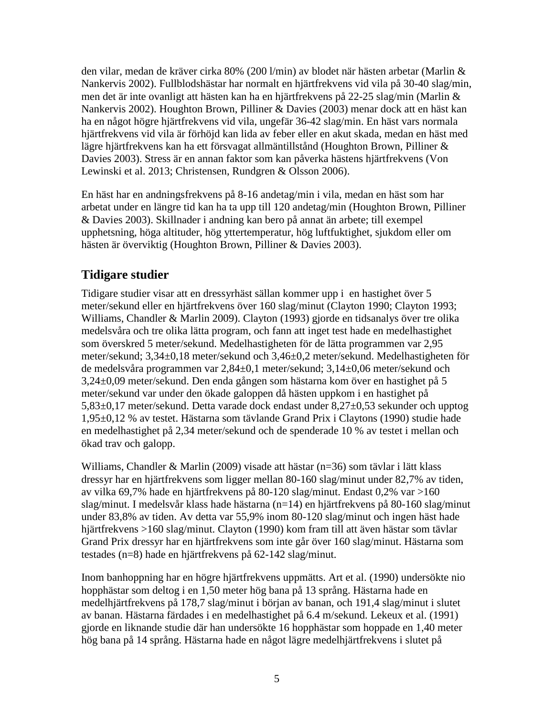den vilar, medan de kräver cirka 80% (200 l/min) av blodet när hästen arbetar (Marlin & Nankervis 2002). Fullblodshästar har normalt en hjärtfrekvens vid vila på 30-40 slag/min, men det är inte ovanligt att hästen kan ha en hjärtfrekvens på 22-25 slag/min (Marlin & Nankervis 2002). Houghton Brown, Pilliner & Davies (2003) menar dock att en häst kan ha en något högre hjärtfrekvens vid vila, ungefär 36-42 slag/min. En häst vars normala hjärtfrekvens vid vila är förhöjd kan lida av feber eller en akut skada, medan en häst med lägre hjärtfrekvens kan ha ett försvagat allmäntillstånd (Houghton Brown, Pilliner & Davies 2003). Stress är en annan faktor som kan påverka hästens hjärtfrekvens (Von Lewinski et al. 2013; Christensen, Rundgren & Olsson 2006).

En häst har en andningsfrekvens på 8-16 andetag/min i vila, medan en häst som har arbetat under en längre tid kan ha ta upp till 120 andetag/min (Houghton Brown, Pilliner & Davies 2003). Skillnader i andning kan bero på annat än arbete; till exempel upphetsning, höga altituder, hög yttertemperatur, hög luftfuktighet, sjukdom eller om hästen är överviktig (Houghton Brown, Pilliner & Davies 2003).

### <span id="page-6-0"></span>**Tidigare studier**

Tidigare studier visar att en dressyrhäst sällan kommer upp i en hastighet över 5 meter/sekund eller en hjärtfrekvens över 160 slag/minut (Clayton 1990; Clayton 1993; Williams, Chandler & Marlin 2009). Clayton (1993) gjorde en tidsanalys över tre olika medelsvåra och tre olika lätta program, och fann att inget test hade en medelhastighet som överskred 5 meter/sekund. Medelhastigheten för de lätta programmen var 2,95 meter/sekund; 3,34±0,18 meter/sekund och 3,46±0,2 meter/sekund. Medelhastigheten för de medelsvåra programmen var 2,84±0,1 meter/sekund; 3,14±0,06 meter/sekund och 3,24±0,09 meter/sekund. Den enda gången som hästarna kom över en hastighet på 5 meter/sekund var under den ökade galoppen då hästen uppkom i en hastighet på 5,83±0,17 meter/sekund. Detta varade dock endast under 8,27±0,53 sekunder och upptog 1,95±0,12 % av testet. Hästarna som tävlande Grand Prix i Claytons (1990) studie hade en medelhastighet på 2,34 meter/sekund och de spenderade 10 % av testet i mellan och ökad trav och galopp.

Williams, Chandler & Marlin (2009) visade att hästar (n=36) som tävlar i lätt klass dressyr har en hjärtfrekvens som ligger mellan 80-160 slag/minut under 82,7% av tiden, av vilka 69,7% hade en hjärtfrekvens på 80-120 slag/minut. Endast 0,2% var >160 slag/minut. I medelsvår klass hade hästarna (n=14) en hjärtfrekvens på 80-160 slag/minut under 83,8% av tiden. Av detta var 55,9% inom 80-120 slag/minut och ingen häst hade hjärtfrekvens >160 slag/minut. Clayton (1990) kom fram till att även hästar som tävlar Grand Prix dressyr har en hjärtfrekvens som inte går över 160 slag/minut. Hästarna som testades (n=8) hade en hjärtfrekvens på 62-142 slag/minut.

Inom banhoppning har en högre hjärtfrekvens uppmätts. Art et al. (1990) undersökte nio hopphästar som deltog i en 1,50 meter hög bana på 13 språng. Hästarna hade en medelhjärtfrekvens på 178,7 slag/minut i början av banan, och 191,4 slag/minut i slutet av banan. Hästarna färdades i en medelhastighet på 6.4 m/sekund. Lekeux et al. (1991) gjorde en liknande studie där han undersökte 16 hopphästar som hoppade en 1,40 meter hög bana på 14 språng. Hästarna hade en något lägre medelhjärtfrekvens i slutet på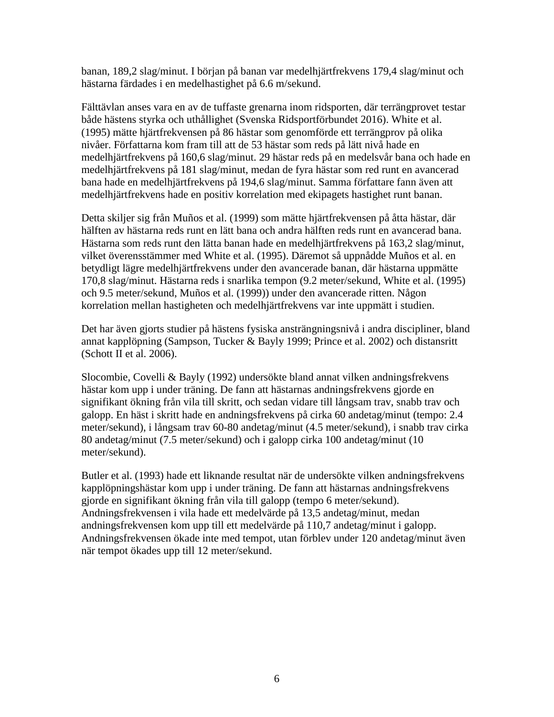banan, 189,2 slag/minut. I början på banan var medelhjärtfrekvens 179,4 slag/minut och hästarna färdades i en medelhastighet på 6.6 m/sekund.

Fälttävlan anses vara en av de tuffaste grenarna inom ridsporten, där terrängprovet testar både hästens styrka och uthållighet (Svenska Ridsportförbundet 2016). White et al. (1995) mätte hjärtfrekvensen på 86 hästar som genomförde ett terrängprov på olika nivåer. Författarna kom fram till att de 53 hästar som reds på lätt nivå hade en medelhjärtfrekvens på 160,6 slag/minut. 29 hästar reds på en medelsvår bana och hade en medelhjärtfrekvens på 181 slag/minut, medan de fyra hästar som red runt en avancerad bana hade en medelhjärtfrekvens på 194,6 slag/minut. Samma författare fann även att medelhjärtfrekvens hade en positiv korrelation med ekipagets hastighet runt banan.

Detta skiljer sig från Muños et al. (1999) som mätte hjärtfrekvensen på åtta hästar, där hälften av hästarna reds runt en lätt bana och andra hälften reds runt en avancerad bana. Hästarna som reds runt den lätta banan hade en medelhjärtfrekvens på 163,2 slag/minut, vilket överensstämmer med White et al. (1995). Däremot så uppnådde Muños et al. en betydligt lägre medelhjärtfrekvens under den avancerade banan, där hästarna uppmätte 170,8 slag/minut. Hästarna reds i snarlika tempon (9.2 meter/sekund, White et al. (1995) och 9.5 meter/sekund, Muños et al. (1999)) under den avancerade ritten. Någon korrelation mellan hastigheten och medelhjärtfrekvens var inte uppmätt i studien.

Det har även gjorts studier på hästens fysiska ansträngningsnivå i andra discipliner, bland annat kapplöpning (Sampson, Tucker & Bayly 1999; Prince et al. 2002) och distansritt (Schott II et al.  $2006$ ).

Slocombie, Covelli & Bayly (1992) undersökte bland annat vilken andningsfrekvens hästar kom upp i under träning. De fann att hästarnas andningsfrekvens gjorde en signifikant ökning från vila till skritt, och sedan vidare till långsam trav, snabb trav och galopp. En häst i skritt hade en andningsfrekvens på cirka 60 andetag/minut (tempo: 2.4 meter/sekund), i långsam trav 60-80 andetag/minut (4.5 meter/sekund), i snabb trav cirka 80 andetag/minut (7.5 meter/sekund) och i galopp cirka 100 andetag/minut (10 meter/sekund).

Butler et al. (1993) hade ett liknande resultat när de undersökte vilken andningsfrekvens kapplöpningshästar kom upp i under träning. De fann att hästarnas andningsfrekvens gjorde en signifikant ökning från vila till galopp (tempo 6 meter/sekund). Andningsfrekvensen i vila hade ett medelvärde på 13,5 andetag/minut, medan andningsfrekvensen kom upp till ett medelvärde på 110,7 andetag/minut i galopp. Andningsfrekvensen ökade inte med tempot, utan förblev under 120 andetag/minut även när tempot ökades upp till 12 meter/sekund.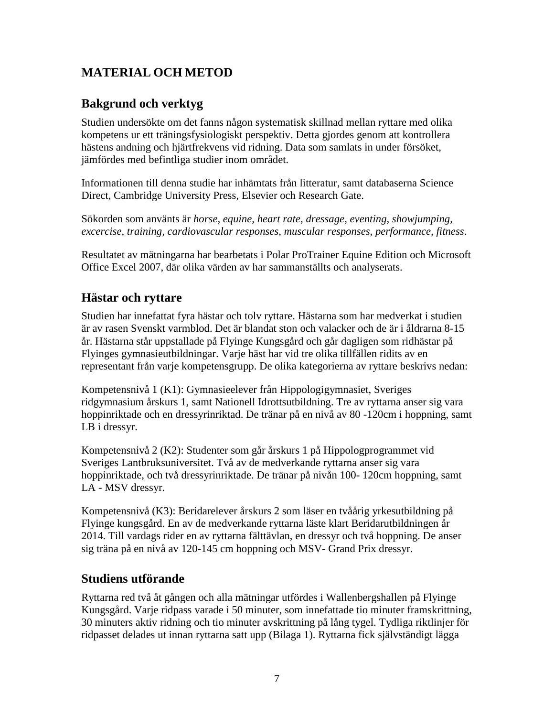# <span id="page-8-0"></span>**MATERIAL OCH METOD**

# <span id="page-8-1"></span>**Bakgrund och verktyg**

Studien undersökte om det fanns någon systematisk skillnad mellan ryttare med olika kompetens ur ett träningsfysiologiskt perspektiv. Detta gjordes genom att kontrollera hästens andning och hjärtfrekvens vid ridning. Data som samlats in under försöket, jämfördes med befintliga studier inom området.

Informationen till denna studie har inhämtats från litteratur, samt databaserna Science Direct, Cambridge University Press, Elsevier och Research Gate.

Sökorden som använts är *horse, equine, heart rate*, *dressage, eventing, showjumping, excercise, training, cardiovascular responses, muscular responses, performance, fitness*.

Resultatet av mätningarna har bearbetats i Polar ProTrainer Equine Edition och Microsoft Office Excel 2007, där olika värden av har sammanställts och analyserats.

### <span id="page-8-2"></span>**Hästar och ryttare**

Studien har innefattat fyra hästar och tolv ryttare. Hästarna som har medverkat i studien är av rasen Svenskt varmblod. Det är blandat ston och valacker och de är i åldrarna 8-15 år. Hästarna står uppstallade på Flyinge Kungsgård och går dagligen som ridhästar på Flyinges gymnasieutbildningar. Varje häst har vid tre olika tillfällen ridits av en representant från varje kompetensgrupp. De olika kategorierna av ryttare beskrivs nedan:

Kompetensnivå 1 (K1): Gymnasieelever från Hippologigymnasiet, Sveriges ridgymnasium årskurs 1, samt Nationell Idrottsutbildning. Tre av ryttarna anser sig vara hoppinriktade och en dressyrinriktad. De tränar på en nivå av 80 -120cm i hoppning, samt LB i dressyr.

Kompetensnivå 2 (K2): Studenter som går årskurs 1 på Hippologprogrammet vid Sveriges Lantbruksuniversitet. Två av de medverkande ryttarna anser sig vara hoppinriktade, och två dressyrinriktade. De tränar på nivån 100- 120cm hoppning, samt LA - MSV dressyr.

Kompetensnivå (K3): Beridarelever årskurs 2 som läser en tvåårig yrkesutbildning på Flyinge kungsgård. En av de medverkande ryttarna läste klart Beridarutbildningen år 2014. Till vardags rider en av ryttarna fälttävlan, en dressyr och två hoppning. De anser sig träna på en nivå av 120-145 cm hoppning och MSV- Grand Prix dressyr.

### <span id="page-8-3"></span>**Studiens utförande**

Ryttarna red två åt gången och alla mätningar utfördes i Wallenbergshallen på Flyinge Kungsgård. Varje ridpass varade i 50 minuter, som innefattade tio minuter framskrittning, 30 minuters aktiv ridning och tio minuter avskrittning på lång tygel. Tydliga riktlinjer för ridpasset delades ut innan ryttarna satt upp (Bilaga 1). Ryttarna fick självständigt lägga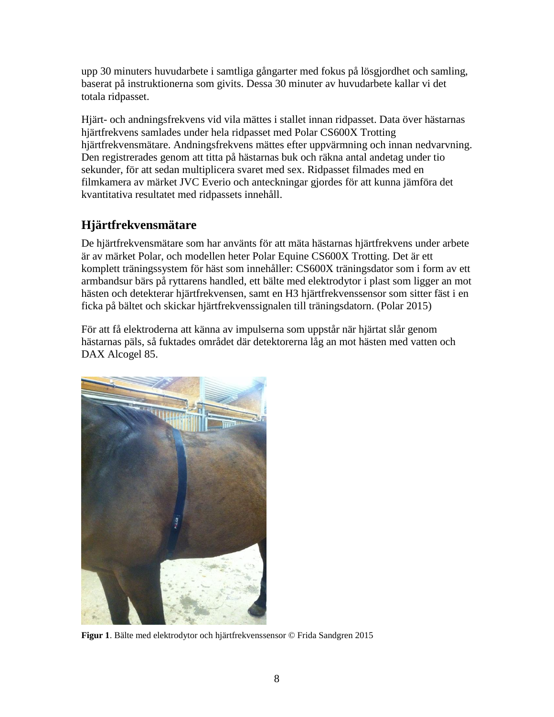upp 30 minuters huvudarbete i samtliga gångarter med fokus på lösgjordhet och samling, baserat på instruktionerna som givits. Dessa 30 minuter av huvudarbete kallar vi det totala ridpasset.

Hjärt- och andningsfrekvens vid vila mättes i stallet innan ridpasset. Data över hästarnas hjärtfrekvens samlades under hela ridpasset med Polar CS600X Trotting hjärtfrekvensmätare. Andningsfrekvens mättes efter uppvärmning och innan nedvarvning. Den registrerades genom att titta på hästarnas buk och räkna antal andetag under tio sekunder, för att sedan multiplicera svaret med sex. Ridpasset filmades med en filmkamera av märket JVC Everio och anteckningar gjordes för att kunna jämföra det kvantitativa resultatet med ridpassets innehåll.

# <span id="page-9-0"></span>**Hjärtfrekvensmätare**

De hjärtfrekvensmätare som har använts för att mäta hästarnas hjärtfrekvens under arbete är av märket Polar, och modellen heter Polar Equine CS600X Trotting. Det är ett komplett träningssystem för häst som innehåller: CS600X träningsdator som i form av ett armbandsur bärs på ryttarens handled, ett bälte med elektrodytor i plast som ligger an mot hästen och detekterar hjärtfrekvensen, samt en H3 hjärtfrekvenssensor som sitter fäst i en ficka på bältet och skickar hjärtfrekvenssignalen till träningsdatorn. (Polar 2015)

För att få elektroderna att känna av impulserna som uppstår när hjärtat slår genom hästarnas päls, så fuktades området där detektorerna låg an mot hästen med vatten och DAX Alcogel 85.



**Figur 1**. Bälte med elektrodytor och hjärtfrekvenssensor © Frida Sandgren 2015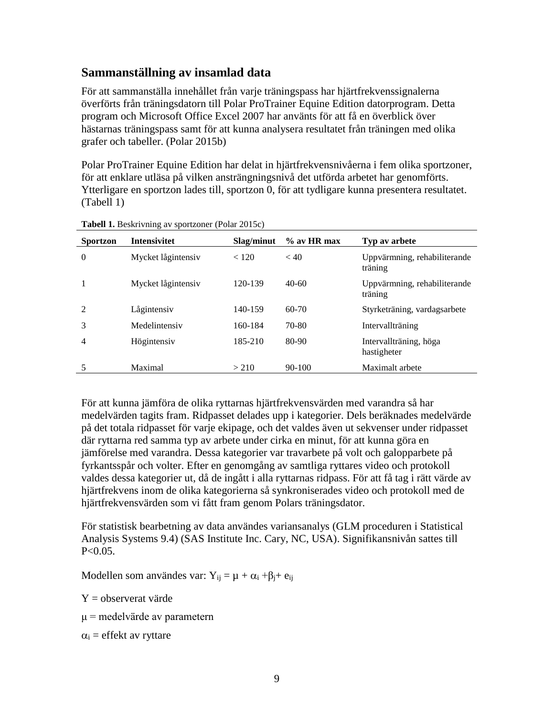#### <span id="page-10-0"></span>**Sammanställning av insamlad data**

För att sammanställa innehållet från varje träningspass har hjärtfrekvenssignalerna överförts från träningsdatorn till Polar ProTrainer Equine Edition datorprogram. Detta program och Microsoft Office Excel 2007 har använts för att få en överblick över hästarnas träningspass samt för att kunna analysera resultatet från träningen med olika grafer och tabeller. (Polar 2015b)

Polar ProTrainer Equine Edition har delat in hjärtfrekvensnivåerna i fem olika sportzoner, för att enklare utläsa på vilken ansträngningsnivå det utförda arbetet har genomförts. Ytterligare en sportzon lades till, sportzon 0, för att tydligare kunna presentera resultatet. (Tabell 1)

| <b>Sportzon</b> | <b>Intensivitet</b> | Slag/minut | $\%$ av HR max | Typ av arbete                           |
|-----------------|---------------------|------------|----------------|-----------------------------------------|
| $\Omega$        | Mycket lågintensiv  | < 120      | < 40           | Uppvärmning, rehabiliterande<br>träning |
|                 | Mycket lågintensiv  | 120-139    | $40-60$        | Uppvärmning, rehabiliterande<br>träning |
| $\mathfrak{D}$  | Lågintensiv         | 140-159    | $60-70$        | Styrketräning, vardagsarbete            |
| 3               | Medelintensiy       | 160-184    | 70-80          | Intervallträning                        |
| 4               | Högintensiy         | 185-210    | 80-90          | Intervallträning, höga<br>hastigheter   |
| 5               | Maximal             | > 210      | $90-100$       | Maximalt arbete                         |

**Tabell 1.** Beskrivning av sportzoner (Polar 2015c)

För att kunna jämföra de olika ryttarnas hjärtfrekvensvärden med varandra så har medelvärden tagits fram. Ridpasset delades upp i kategorier. Dels beräknades medelvärde på det totala ridpasset för varje ekipage, och det valdes även ut sekvenser under ridpasset där ryttarna red samma typ av arbete under cirka en minut, för att kunna göra en jämförelse med varandra. Dessa kategorier var travarbete på volt och galopparbete på fyrkantsspår och volter. Efter en genomgång av samtliga ryttares video och protokoll valdes dessa kategorier ut, då de ingått i alla ryttarnas ridpass. För att få tag i rätt värde av hjärtfrekvens inom de olika kategorierna så synkroniserades video och protokoll med de hjärtfrekvensvärden som vi fått fram genom Polars träningsdator.

För statistisk bearbetning av data användes variansanalys (GLM proceduren i Statistical Analysis Systems 9.4) (SAS Institute Inc. Cary, NC, USA). Signifikansnivån sattes till  $P < 0.05$ .

Modellen som användes var: Y<sub>ij</sub> =  $\mu + \alpha_i + \beta_i + e_{ij}$ 

Y = observerat värde

μ = medelvärde av parametern

 $\alpha_i$  = effekt av ryttare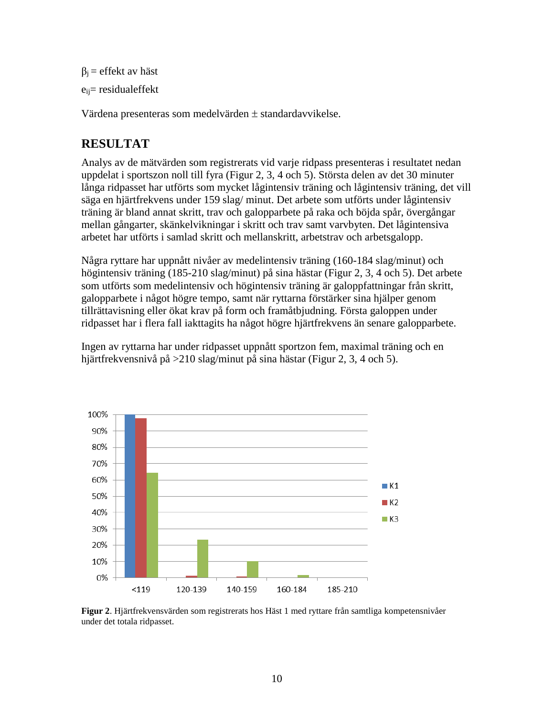```
β<sub>i</sub> = effekt av häst
eij= residualeffekt
```
Värdena presenteras som medelvärden  $\pm$  standardavvikelse.

# <span id="page-11-0"></span>**RESULTAT**

Analys av de mätvärden som registrerats vid varje ridpass presenteras i resultatet nedan uppdelat i sportszon noll till fyra (Figur 2, 3, 4 och 5). Största delen av det 30 minuter långa ridpasset har utförts som mycket lågintensiv träning och lågintensiv träning, det vill säga en hjärtfrekvens under 159 slag/ minut. Det arbete som utförts under lågintensiv träning är bland annat skritt, trav och galopparbete på raka och böjda spår, övergångar mellan gångarter, skänkelvikningar i skritt och trav samt varvbyten. Det lågintensiva arbetet har utförts i samlad skritt och mellanskritt, arbetstrav och arbetsgalopp.

Några ryttare har uppnått nivåer av medelintensiv träning (160-184 slag/minut) och högintensiv träning (185-210 slag/minut) på sina hästar (Figur 2, 3, 4 och 5). Det arbete som utförts som medelintensiv och högintensiv träning är galoppfattningar från skritt, galopparbete i något högre tempo, samt när ryttarna förstärker sina hjälper genom tillrättavisning eller ökat krav på form och framåtbjudning. Första galoppen under ridpasset har i flera fall iakttagits ha något högre hjärtfrekvens än senare galopparbete.

Ingen av ryttarna har under ridpasset uppnått sportzon fem, maximal träning och en hjärtfrekvensnivå på >210 slag/minut på sina hästar (Figur 2, 3, 4 och 5).



**Figur 2**. Hjärtfrekvensvärden som registrerats hos Häst 1 med ryttare från samtliga kompetensnivåer under det totala ridpasset.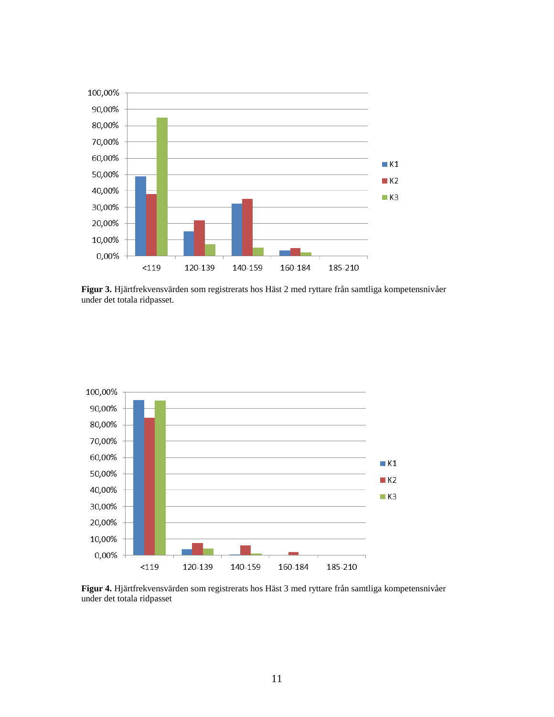

**Figur 3.** Hjärtfrekvensvärden som registrerats hos Häst 2 med ryttare från samtliga kompetensnivåer under det totala ridpasset.



**Figur 4.** Hjärtfrekvensvärden som registrerats hos Häst 3 med ryttare från samtliga kompetensnivåer under det totala ridpasset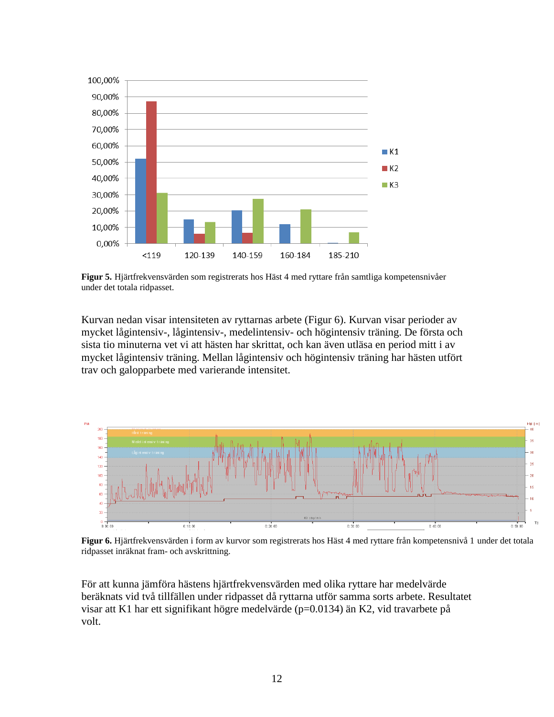

**Figur 5.** Hjärtfrekvensvärden som registrerats hos Häst 4 med ryttare från samtliga kompetensnivåer under det totala ridpasset.

Kurvan nedan visar intensiteten av ryttarnas arbete (Figur 6). Kurvan visar perioder av mycket lågintensiv-, lågintensiv-, medelintensiv- och högintensiv träning. De första och sista tio minuterna vet vi att hästen har skrittat, och kan även utläsa en period mitt i av mycket lågintensiv träning. Mellan lågintensiv och högintensiv träning har hästen utfört trav och galopparbete med varierande intensitet.



**Figur 6.** Hjärtfrekvensvärden i form av kurvor som registrerats hos Häst 4 med ryttare från kompetensnivå 1 under det totala ridpasset inräknat fram- och avskrittning.

För att kunna jämföra hästens hjärtfrekvensvärden med olika ryttare har medelvärde beräknats vid två tillfällen under ridpasset då ryttarna utför samma sorts arbete. Resultatet visar att K1 har ett signifikant högre medelvärde (p=0.0134) än K2, vid travarbete på volt.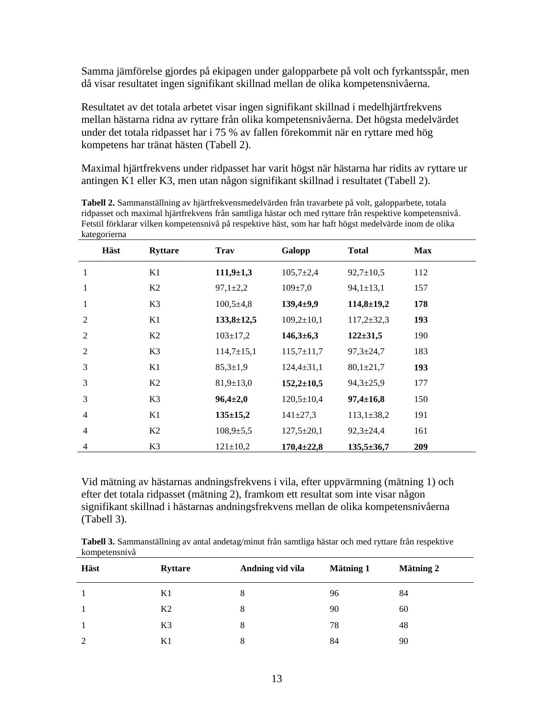Samma jämförelse gjordes på ekipagen under galopparbete på volt och fyrkantsspår, men då visar resultatet ingen signifikant skillnad mellan de olika kompetensnivåerna.

Resultatet av det totala arbetet visar ingen signifikant skillnad i medelhjärtfrekvens mellan hästarna ridna av ryttare från olika kompetensnivåerna. Det högsta medelvärdet under det totala ridpasset har i 75 % av fallen förekommit när en ryttare med hög kompetens har tränat hästen (Tabell 2).

Maximal hjärtfrekvens under ridpasset har varit högst när hästarna har ridits av ryttare ur antingen K1 eller K3, men utan någon signifikant skillnad i resultatet (Tabell 2).

**Tabell 2.** Sammanställning av hjärtfrekvensmedelvärden från travarbete på volt, galopparbete, totala ridpasset och maximal hjärtfrekvens från samtliga hästar och med ryttare från respektive kompetensnivå. Fetstil förklarar vilken kompetensnivå på respektive häst, som har haft högst medelvärde inom de olika kategorierna

|                | Häst | <b>Ryttare</b> | <b>Trav</b>      | Galopp            | <b>Total</b>     | <b>Max</b> |
|----------------|------|----------------|------------------|-------------------|------------------|------------|
| $\mathbf{1}$   |      | K1             | $111,9+1,3$      | $105,7{\pm}2,4$   | $92,7 \pm 10,5$  | 112        |
| $\mathbf{1}$   |      | K <sub>2</sub> | $97,1 \pm 2,2$   | $109 \pm 7.0$     | $94,1 \pm 13,1$  | 157        |
| $\mathbf{1}$   |      | K <sub>3</sub> | $100,5 \pm 4,8$  | $139,4+9,9$       | $114,8 \pm 19,2$ | 178        |
| $\overline{2}$ |      | K1             | $133,8 \pm 12,5$ | $109,2{\pm}10,1$  | $117,2 \pm 32,3$ | 193        |
| $\overline{2}$ |      | K <sub>2</sub> | $103 \pm 17.2$   | $146,3\t\pm\t6,3$ | $122 \pm 31,5$   | 190        |
| 2              |      | K3             | $114,7\pm 15,1$  | $115,7{\pm}11,7$  | $97,3 \pm 24,7$  | 183        |
| 3              |      | K1             | $85.3 \pm 1.9$   | $124,4 \pm 31,1$  | $80,1 \pm 21,7$  | 193        |
| 3              |      | K2             | $81,9 \pm 13,0$  | $152,2 \pm 10,5$  | $94,3 \pm 25,9$  | 177        |
| 3              |      | K3             | $96,4{\pm}2,0$   | $120,5 \pm 10,4$  | $97,4 \pm 16,8$  | 150        |
| $\overline{4}$ |      | K1             | $135 \pm 15,2$   | $141 \pm 27,3$    | $113,1 \pm 38,2$ | 191        |
| $\overline{4}$ |      | K2             | $108.9 \pm 5.5$  | $127.5 \pm 20.1$  | $92.3 \pm 24.4$  | 161        |
| $\overline{4}$ |      | K3             | $121 \pm 10,2$   | $170,4{\pm}22,8$  | $135,5 \pm 36,7$ | 209        |

Vid mätning av hästarnas andningsfrekvens i vila, efter uppvärmning (mätning 1) och efter det totala ridpasset (mätning 2), framkom ett resultat som inte visar någon signifikant skillnad i hästarnas andningsfrekvens mellan de olika kompetensnivåerna (Tabell 3).

**Tabell 3.** Sammanställning av antal andetag/minut från samtliga hästar och med ryttare från respektive kompetensnivå

| Häst | <b>Ryttare</b> | Andning vid vila | <b>Mätning 1</b> | <b>Mätning 2</b> |
|------|----------------|------------------|------------------|------------------|
|      | K1             | 8                | 96               | 84               |
|      | K <sub>2</sub> | 8                | 90               | 60               |
|      | K <sub>3</sub> | 8                | 78               | 48               |
| 2    | K1             | 8                | 84               | 90               |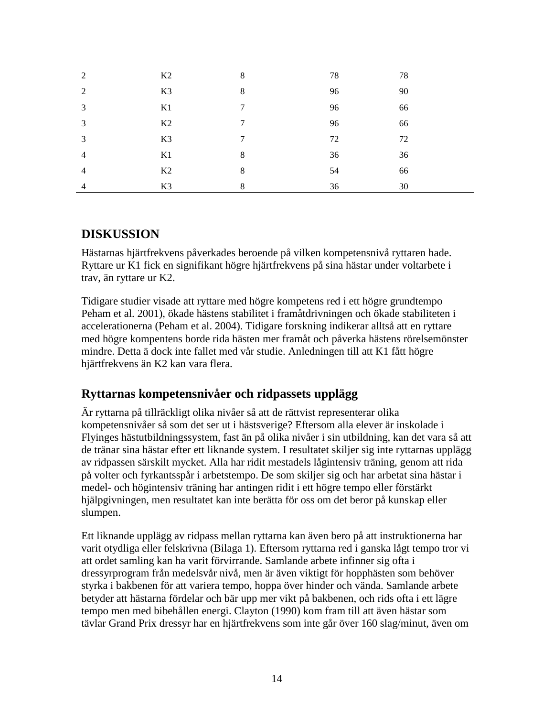| 2              | K2             | 8 | 78 | 78 |
|----------------|----------------|---|----|----|
| 2              | K3             | 8 | 96 | 90 |
| 3              | K1             | 7 | 96 | 66 |
| 3              | K2             | 7 | 96 | 66 |
| 3              | K <sub>3</sub> | 7 | 72 | 72 |
| $\overline{4}$ | K1             | 8 | 36 | 36 |
| $\overline{4}$ | K2             | 8 | 54 | 66 |
| $\overline{4}$ | K3             | 8 | 36 | 30 |

#### <span id="page-15-0"></span>**DISKUSSION**

Hästarnas hjärtfrekvens påverkades beroende på vilken kompetensnivå ryttaren hade. Ryttare ur K1 fick en signifikant högre hjärtfrekvens på sina hästar under voltarbete i trav, än ryttare ur K2.

Tidigare studier visade att ryttare med högre kompetens red i ett högre grundtempo Peham et al. 2001), ökade hästens stabilitet i framåtdrivningen och ökade stabiliteten i accelerationerna (Peham et al. 2004). Tidigare forskning indikerar alltså att en ryttare med högre kompentens borde rida hästen mer framåt och påverka hästens rörelsemönster mindre. Detta ä dock inte fallet med vår studie. Anledningen till att K1 fått högre hjärtfrekvens än K2 kan vara flera.

### <span id="page-15-1"></span>**Ryttarnas kompetensnivåer och ridpassets upplägg**

Är ryttarna på tillräckligt olika nivåer så att de rättvist representerar olika kompetensnivåer så som det ser ut i hästsverige? Eftersom alla elever är inskolade i Flyinges hästutbildningssystem, fast än på olika nivåer i sin utbildning, kan det vara så att de tränar sina hästar efter ett liknande system. I resultatet skiljer sig inte ryttarnas upplägg av ridpassen särskilt mycket. Alla har ridit mestadels lågintensiv träning, genom att rida på volter och fyrkantsspår i arbetstempo. De som skiljer sig och har arbetat sina hästar i medel- och högintensiv träning har antingen ridit i ett högre tempo eller förstärkt hjälpgivningen, men resultatet kan inte berätta för oss om det beror på kunskap eller slumpen.

Ett liknande upplägg av ridpass mellan ryttarna kan även bero på att instruktionerna har varit otydliga eller felskrivna (Bilaga 1). Eftersom ryttarna red i ganska lågt tempo tror vi att ordet samling kan ha varit förvirrande. Samlande arbete infinner sig ofta i dressyrprogram från medelsvår nivå, men är även viktigt för hopphästen som behöver styrka i bakbenen för att variera tempo, hoppa över hinder och vända. Samlande arbete betyder att hästarna fördelar och bär upp mer vikt på bakbenen, och rids ofta i ett lägre tempo men med bibehållen energi. Clayton (1990) kom fram till att även hästar som tävlar Grand Prix dressyr har en hjärtfrekvens som inte går över 160 slag/minut, även om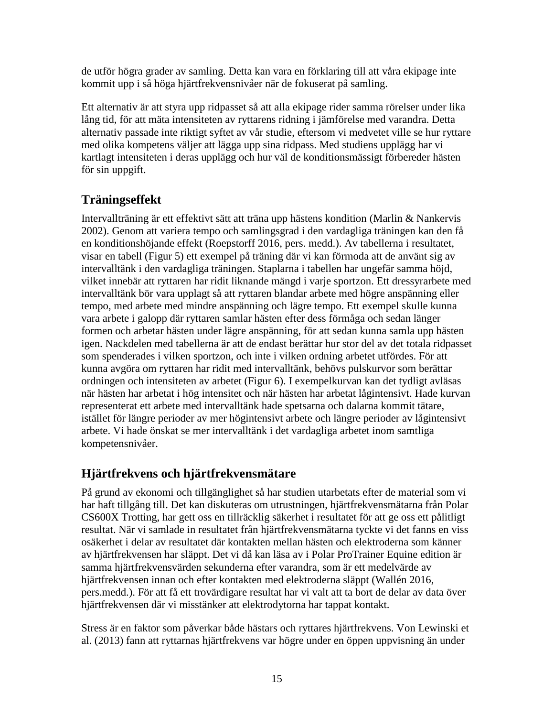de utför högra grader av samling. Detta kan vara en förklaring till att våra ekipage inte kommit upp i så höga hjärtfrekvensnivåer när de fokuserat på samling.

Ett alternativ är att styra upp ridpasset så att alla ekipage rider samma rörelser under lika lång tid, för att mäta intensiteten av ryttarens ridning i jämförelse med varandra. Detta alternativ passade inte riktigt syftet av vår studie, eftersom vi medvetet ville se hur ryttare med olika kompetens väljer att lägga upp sina ridpass. Med studiens upplägg har vi kartlagt intensiteten i deras upplägg och hur väl de konditionsmässigt förbereder hästen för sin uppgift.

# <span id="page-16-0"></span>**Träningseffekt**

Intervallträning är ett effektivt sätt att träna upp hästens kondition (Marlin & Nankervis 2002). Genom att variera tempo och samlingsgrad i den vardagliga träningen kan den få en konditionshöjande effekt (Roepstorff 2016, pers. medd.). Av tabellerna i resultatet, visar en tabell (Figur 5) ett exempel på träning där vi kan förmoda att de använt sig av intervalltänk i den vardagliga träningen. Staplarna i tabellen har ungefär samma höjd, vilket innebär att ryttaren har ridit liknande mängd i varje sportzon. Ett dressyrarbete med intervalltänk bör vara upplagt så att ryttaren blandar arbete med högre anspänning eller tempo, med arbete med mindre anspänning och lägre tempo. Ett exempel skulle kunna vara arbete i galopp där ryttaren samlar hästen efter dess förmåga och sedan länger formen och arbetar hästen under lägre anspänning, för att sedan kunna samla upp hästen igen. Nackdelen med tabellerna är att de endast berättar hur stor del av det totala ridpasset som spenderades i vilken sportzon, och inte i vilken ordning arbetet utfördes. För att kunna avgöra om ryttaren har ridit med intervalltänk, behövs pulskurvor som berättar ordningen och intensiteten av arbetet (Figur 6). I exempelkurvan kan det tydligt avläsas när hästen har arbetat i hög intensitet och när hästen har arbetat lågintensivt. Hade kurvan representerat ett arbete med intervalltänk hade spetsarna och dalarna kommit tätare, istället för längre perioder av mer högintensivt arbete och längre perioder av lågintensivt arbete. Vi hade önskat se mer intervalltänk i det vardagliga arbetet inom samtliga kompetensnivåer.

# <span id="page-16-1"></span>**Hjärtfrekvens och hjärtfrekvensmätare**

På grund av ekonomi och tillgänglighet så har studien utarbetats efter de material som vi har haft tillgång till. Det kan diskuteras om utrustningen, hjärtfrekvensmätarna från Polar CS600X Trotting, har gett oss en tillräcklig säkerhet i resultatet för att ge oss ett pålitligt resultat. När vi samlade in resultatet från hjärtfrekvensmätarna tyckte vi det fanns en viss osäkerhet i delar av resultatet där kontakten mellan hästen och elektroderna som känner av hjärtfrekvensen har släppt. Det vi då kan läsa av i Polar ProTrainer Equine edition är samma hjärtfrekvensvärden sekunderna efter varandra, som är ett medelvärde av hjärtfrekvensen innan och efter kontakten med elektroderna släppt (Wallén 2016, pers.medd.). För att få ett trovärdigare resultat har vi valt att ta bort de delar av data över hjärtfrekvensen där vi misstänker att elektrodytorna har tappat kontakt.

Stress är en faktor som påverkar både hästars och ryttares hjärtfrekvens. Von Lewinski et al. (2013) fann att ryttarnas hjärtfrekvens var högre under en öppen uppvisning än under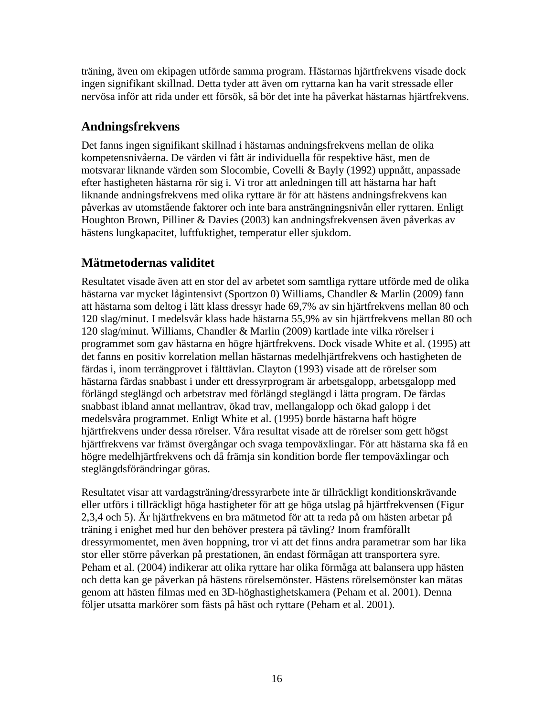träning, även om ekipagen utförde samma program. Hästarnas hjärtfrekvens visade dock ingen signifikant skillnad. Detta tyder att även om ryttarna kan ha varit stressade eller nervösa inför att rida under ett försök, så bör det inte ha påverkat hästarnas hjärtfrekvens.

### <span id="page-17-0"></span>**Andningsfrekvens**

Det fanns ingen signifikant skillnad i hästarnas andningsfrekvens mellan de olika kompetensnivåerna. De värden vi fått är individuella för respektive häst, men de motsvarar liknande värden som Slocombie, Covelli & Bayly (1992) uppnått, anpassade efter hastigheten hästarna rör sig i. Vi tror att anledningen till att hästarna har haft liknande andningsfrekvens med olika ryttare är för att hästens andningsfrekvens kan påverkas av utomstående faktorer och inte bara ansträngningsnivån eller ryttaren. Enligt Houghton Brown, Pilliner & Davies (2003) kan andningsfrekvensen även påverkas av hästens lungkapacitet, luftfuktighet, temperatur eller sjukdom.

# <span id="page-17-1"></span>**Mätmetodernas validitet**

Resultatet visade även att en stor del av arbetet som samtliga ryttare utförde med de olika hästarna var mycket lågintensivt (Sportzon 0) Williams, Chandler & Marlin (2009) fann att hästarna som deltog i lätt klass dressyr hade 69,7% av sin hjärtfrekvens mellan 80 och 120 slag/minut. I medelsvår klass hade hästarna 55,9% av sin hjärtfrekvens mellan 80 och 120 slag/minut. Williams, Chandler & Marlin (2009) kartlade inte vilka rörelser i programmet som gav hästarna en högre hjärtfrekvens. Dock visade White et al. (1995) att det fanns en positiv korrelation mellan hästarnas medelhjärtfrekvens och hastigheten de färdas i, inom terrängprovet i fälttävlan. Clayton (1993) visade att de rörelser som hästarna färdas snabbast i under ett dressyrprogram är arbetsgalopp, arbetsgalopp med förlängd steglängd och arbetstrav med förlängd steglängd i lätta program. De färdas snabbast ibland annat mellantrav, ökad trav, mellangalopp och ökad galopp i det medelsvåra programmet. Enligt White et al. (1995) borde hästarna haft högre hjärtfrekvens under dessa rörelser. Våra resultat visade att de rörelser som gett högst hjärtfrekvens var främst övergångar och svaga tempoväxlingar. För att hästarna ska få en högre medelhjärtfrekvens och då främja sin kondition borde fler tempoväxlingar och steglängdsförändringar göras.

Resultatet visar att vardagsträning/dressyrarbete inte är tillräckligt konditionskrävande eller utförs i tillräckligt höga hastigheter för att ge höga utslag på hjärtfrekvensen (Figur 2,3,4 och 5). Är hjärtfrekvens en bra mätmetod för att ta reda på om hästen arbetar på träning i enighet med hur den behöver prestera på tävling? Inom framförallt dressyrmomentet, men även hoppning, tror vi att det finns andra parametrar som har lika stor eller större påverkan på prestationen, än endast förmågan att transportera syre. Peham et al. (2004) indikerar att olika ryttare har olika förmåga att balansera upp hästen och detta kan ge påverkan på hästens rörelsemönster. Hästens rörelsemönster kan mätas genom att hästen filmas med en 3D-höghastighetskamera (Peham et al. 2001). Denna följer utsatta markörer som fästs på häst och ryttare (Peham et al. 2001).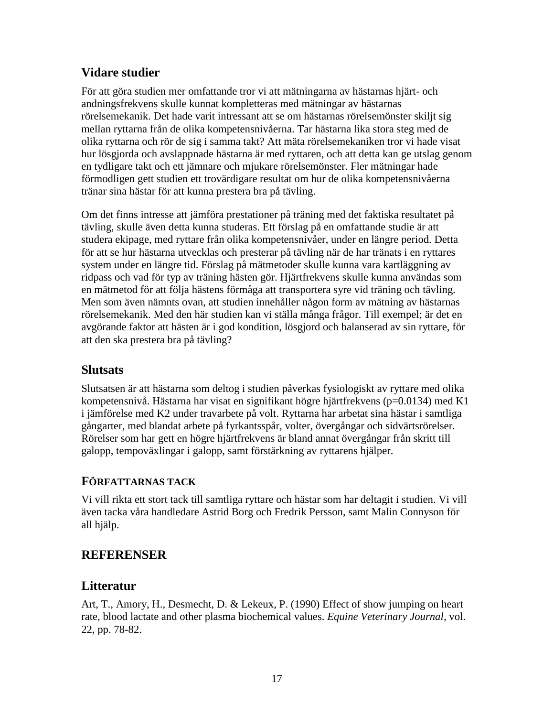### <span id="page-18-0"></span>**Vidare studier**

För att göra studien mer omfattande tror vi att mätningarna av hästarnas hjärt- och andningsfrekvens skulle kunnat kompletteras med mätningar av hästarnas rörelsemekanik. Det hade varit intressant att se om hästarnas rörelsemönster skiljt sig mellan ryttarna från de olika kompetensnivåerna. Tar hästarna lika stora steg med de olika ryttarna och rör de sig i samma takt? Att mäta rörelsemekaniken tror vi hade visat hur lösgjorda och avslappnade hästarna är med ryttaren, och att detta kan ge utslag genom en tydligare takt och ett jämnare och mjukare rörelsemönster. Fler mätningar hade förmodligen gett studien ett trovärdigare resultat om hur de olika kompetensnivåerna tränar sina hästar för att kunna prestera bra på tävling.

Om det finns intresse att jämföra prestationer på träning med det faktiska resultatet på tävling, skulle även detta kunna studeras. Ett förslag på en omfattande studie är att studera ekipage, med ryttare från olika kompetensnivåer, under en längre period. Detta för att se hur hästarna utvecklas och presterar på tävling när de har tränats i en ryttares system under en längre tid. Förslag på mätmetoder skulle kunna vara kartläggning av ridpass och vad för typ av träning hästen gör. Hjärtfrekvens skulle kunna användas som en mätmetod för att följa hästens förmåga att transportera syre vid träning och tävling. Men som även nämnts ovan, att studien innehåller någon form av mätning av hästarnas rörelsemekanik. Med den här studien kan vi ställa många frågor. Till exempel; är det en avgörande faktor att hästen är i god kondition, lösgjord och balanserad av sin ryttare, för att den ska prestera bra på tävling?

### <span id="page-18-1"></span>**Slutsats**

Slutsatsen är att hästarna som deltog i studien påverkas fysiologiskt av ryttare med olika kompetensnivå. Hästarna har visat en signifikant högre hjärtfrekvens (p=0.0134) med K1 i jämförelse med K2 under travarbete på volt. Ryttarna har arbetat sina hästar i samtliga gångarter, med blandat arbete på fyrkantsspår, volter, övergångar och sidvärtsrörelser. Rörelser som har gett en högre hjärtfrekvens är bland annat övergångar från skritt till galopp, tempoväxlingar i galopp, samt förstärkning av ryttarens hjälper.

#### <span id="page-18-2"></span>**FÖRFATTARNAS TACK**

Vi vill rikta ett stort tack till samtliga ryttare och hästar som har deltagit i studien. Vi vill även tacka våra handledare Astrid Borg och Fredrik Persson, samt Malin Connyson för all hjälp.

# <span id="page-18-3"></span>**REFERENSER**

### <span id="page-18-4"></span>**Litteratur**

Art, T., Amory, H., Desmecht, D. & Lekeux, P. (1990) Effect of show jumping on heart rate, blood lactate and other plasma biochemical values. *Equine Veterinary Journal,* vol. 22, pp. 78-82.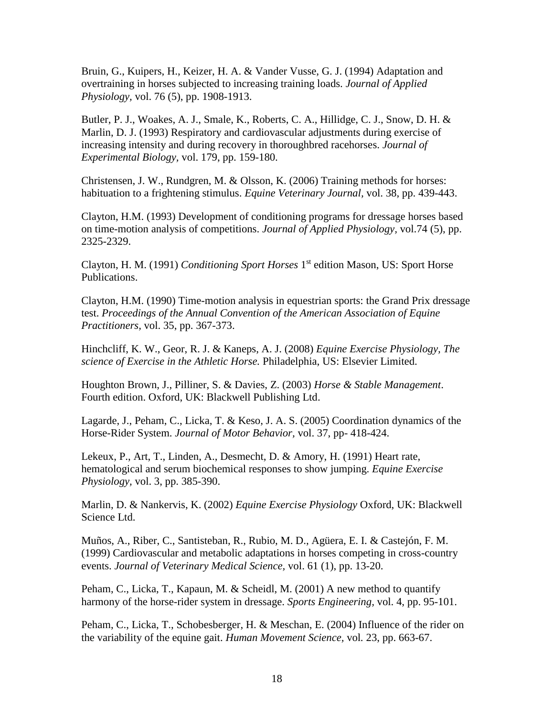Bruin, G., Kuipers, H., Keizer, H. A. & Vander Vusse, G. J. (1994) Adaptation and overtraining in horses subjected to increasing training loads. *Journal of Applied Physiology,* vol. 76 (5), pp. 1908-1913.

Butler, P. J., Woakes, A. J., Smale, K., Roberts, C. A., Hillidge, C. J., Snow, D. H. & Marlin, D. J. (1993) Respiratory and cardiovascular adjustments during exercise of increasing intensity and during recovery in thoroughbred racehorses. *Journal of Experimental Biology,* vol. 179, pp. 159-180.

Christensen, J. W., Rundgren, M. & Olsson, K. (2006) Training methods for horses: habituation to a frightening stimulus. *Equine Veterinary Journal,* vol. 38, pp. 439-443.

Clayton, H.M. (1993) Development of conditioning programs for dressage horses based on time-motion analysis of competitions. *Journal of Applied Physiology,* vol.74 (5), pp. 2325-2329.

Clayton, H. M. (1991) *Conditioning Sport Horses* 1 st edition Mason, US: Sport Horse Publications.

Clayton, H.M. (1990) Time-motion analysis in equestrian sports: the Grand Prix dressage test. *Proceedings [of the Annual Convention of the American Association of Equine](http://www.cabdirect.org/search.html?q=do%3A%22Proceedings+of+the+Annual+Convention+of+the+American+Association+of+Equine+Practitioners%22)  [Practitioners,](http://www.cabdirect.org/search.html?q=do%3A%22Proceedings+of+the+Annual+Convention+of+the+American+Association+of+Equine+Practitioners%22)* vol. 35, pp. 367-373.

Hinchcliff, K. W., Geor, R. J. & Kaneps, A. J. (2008) *Equine Exercise Physiology, The science of Exercise in the Athletic Horse.* Philadelphia, US: Elsevier Limited.

Houghton Brown, J., Pilliner, S. & Davies, Z. (2003) *Horse & Stable Management*. Fourth edition. Oxford, UK: Blackwell Publishing Ltd.

Lagarde, J., Peham, C., Licka, T. & Keso, J. A. S. (2005) Coordination dynamics of the Horse-Rider System. *Journal of Motor Behavior,* vol. 37, pp- 418-424.

Lekeux, P., Art, T., Linden, A., Desmecht, D. & Amory, H. (1991) Heart rate, hematological and serum biochemical responses to show jumping. *Equine Exercise Physiology,* vol. 3, pp. 385-390.

Marlin, D. & Nankervis, K. (2002) *Equine Exercise Physiology* Oxford, UK: Blackwell Science Ltd.

Muños, A., Riber, C., Santisteban, R., Rubio, M. D., Agüera, E. I. & Castejón, F. M. (1999) Cardiovascular and metabolic adaptations in horses competing in cross-country events. *Journal of Veterinary Medical Science,* vol. 61 (1), pp. 13-20.

Peham, C., Licka, T., Kapaun, M. & Scheidl, M. (2001) A new method to quantify harmony of the horse-rider system in dressage. *Sports Engineering,* vol. 4, pp. 95-101.

Peham, C., Licka, T., Schobesberger, H. & Meschan, E. (2004) Influence of the rider on the variability of the equine gait. *Human Movement Science,* vol*.* 23, pp. 663-67.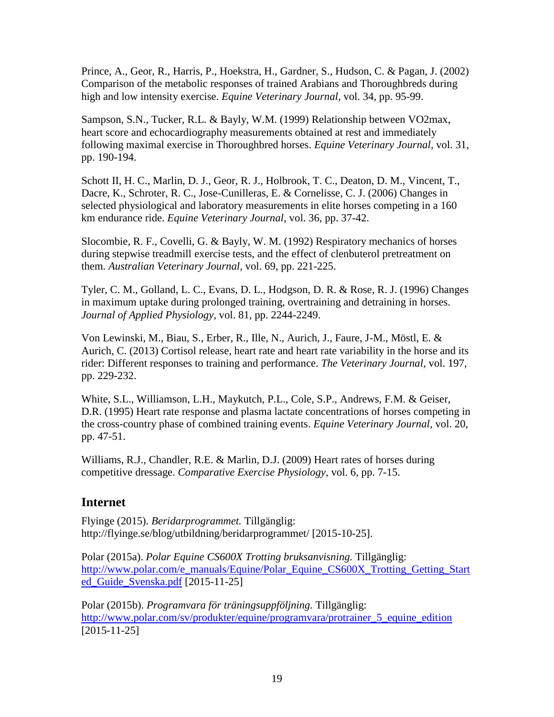Prince, A., Geor, R., Harris, P., Hoekstra, H., Gardner, S., Hudson, C. & Pagan, J. (2002) Comparison of the metabolic responses of trained Arabians and Thoroughbreds during high and low intensity exercise. *Equine Veterinary Journal,* vol. 34, pp. 95-99.

Sampson, S.N., Tucker, R.L. & Bayly, W.M. (1999) Relationship between VO2max, heart score and echocardiography measurements obtained at rest and immediately following maximal exercise in Thoroughbred horses. *Equine Veterinary Journal,* vol. 31, pp. 190-194.

Schott II, H. C., Marlin, D. J., Geor, R. J., Holbrook, T. C., Deaton, D. M., Vincent, T., Dacre, K., Schroter, R. C., Jose-Cunilleras, E. & Cornelisse, C. J. (2006) Changes in selected physiological and laboratory measurements in elite horses competing in a 160 km endurance ride. *Equine Veterinary Journal,* vol. 36, pp. 37-42.

Slocombie, R. F., Covelli, G. & Bayly, W. M. (1992) Respiratory mechanics of horses during stepwise treadmill exercise tests, and the effect of clenbuterol pretreatment on them. *Australian Veterinary Journal,* vol. 69, pp. 221-225.

Tyler, C. M., Golland, L. C., Evans, D. L., Hodgson, D. R. & Rose, R. J. (1996) Changes in maximum uptake during prolonged training, overtraining and detraining in horses. *Journal of Applied Physiology,* vol. 81, pp. 2244-2249.

Von Lewinski, M., Biau, S., Erber, R., Ille, N., Aurich, J., Faure, J-M., Möstl, E. & Aurich, C. (2013) Cortisol release, heart rate and heart rate variability in the horse and its rider: Different responses to training and performance. *The Veterinary Journal,* vol. 197, pp. 229-232.

White, S.L., Williamson, L.H., Maykutch, P.L., Cole, S.P., Andrews, F.M. & Geiser, D.R. (1995) Heart rate response and plasma lactate concentrations of horses competing in the cross-country phase of combined training events. *Equine Veterinary Journal,* vol. 20, pp. 47-51.

Williams, R.J., Chandler, R.E. & Marlin, D.J. (2009) Heart rates of horses during competitive dressage. *Comparative Exercise Physiology,* vol. 6, pp. 7-15.

# <span id="page-20-0"></span>**Internet**

Flyinge (2015). *Beridarprogrammet.* Tillgänglig: http://flyinge.se/blog/utbildning/beridarprogrammet/ [2015-10-25].

Polar (2015a). *Polar Equine CS600X Trotting bruksanvisning.* Tillgänglig: [http://www.polar.com/e\\_manuals/Equine/Polar\\_Equine\\_CS600X\\_Trotting\\_Getting\\_Start](http://www.polar.com/e_manuals/Equine/Polar_Equine_CS600X_Trotting_Getting_Started_Guide_Svenska.pdf) [ed\\_Guide\\_Svenska.pdf](http://www.polar.com/e_manuals/Equine/Polar_Equine_CS600X_Trotting_Getting_Started_Guide_Svenska.pdf) [2015-11-25]

Polar (2015b). *Programvara för träningsuppföljning.* Tillgänglig: http://www.polar.com/sv/produkter/equine/programvara/protrainer 5 equine edition [2015-11-25]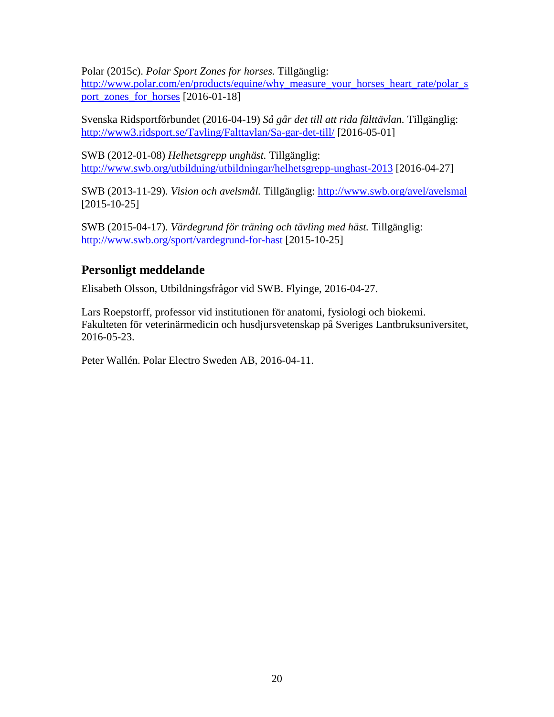Polar (2015c). *Polar Sport Zones for horses.* Tillgänglig:

[http://www.polar.com/en/products/equine/why\\_measure\\_your\\_horses\\_heart\\_rate/polar\\_s](http://www.polar.com/en/products/equine/why_measure_your_horses_heart_rate/polar_sport_zones_for_horses) [port\\_zones\\_for\\_horses](http://www.polar.com/en/products/equine/why_measure_your_horses_heart_rate/polar_sport_zones_for_horses) [2016-01-18]

Svenska Ridsportförbundet (2016-04-19) *Så går det till att rida fälttävlan.* Tillgänglig: <http://www3.ridsport.se/Tavling/Falttavlan/Sa-gar-det-till/> [2016-05-01]

SWB (2012-01-08) *Helhetsgrepp unghäst.* Tillgänglig: <http://www.swb.org/utbildning/utbildningar/helhetsgrepp-unghast-2013> [2016-04-27]

SWB (2013-11-29). *Vision och avelsmål.* Tillgänglig:<http://www.swb.org/avel/avelsmal> [2015-10-25]

SWB (2015-04-17). *Värdegrund för träning och tävling med häst.* Tillgänglig: <http://www.swb.org/sport/vardegrund-for-hast> [2015-10-25]

# <span id="page-21-0"></span>**Personligt meddelande**

Elisabeth Olsson, Utbildningsfrågor vid SWB. Flyinge, 2016-04-27.

Lars Roepstorff, professor vid institutionen för anatomi, fysiologi och biokemi. Fakulteten för veterinärmedicin och husdjursvetenskap på Sveriges Lantbruksuniversitet, 2016-05-23.

Peter Wallén. Polar Electro Sweden AB, 2016-04-11.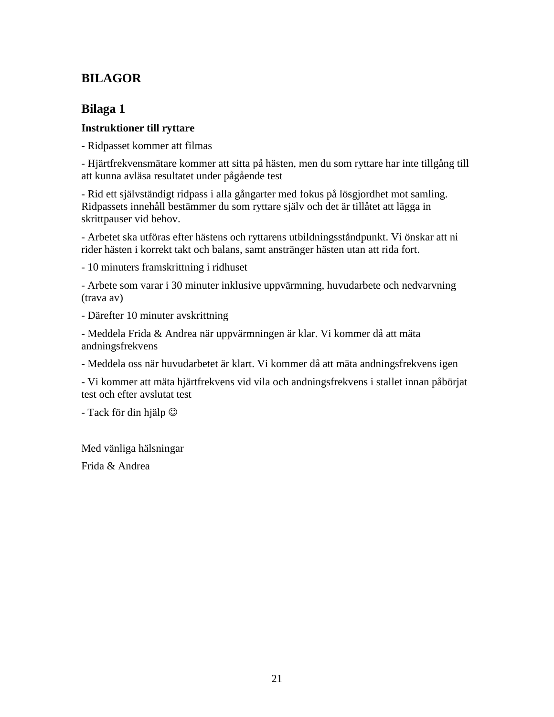# <span id="page-22-0"></span>**BILAGOR**

### <span id="page-22-1"></span>**Bilaga 1**

#### **Instruktioner till ryttare**

- Ridpasset kommer att filmas

- Hjärtfrekvensmätare kommer att sitta på hästen, men du som ryttare har inte tillgång till att kunna avläsa resultatet under pågående test

- Rid ett självständigt ridpass i alla gångarter med fokus på lösgjordhet mot samling. Ridpassets innehåll bestämmer du som ryttare själv och det är tillåtet att lägga in skrittpauser vid behov.

- Arbetet ska utföras efter hästens och ryttarens utbildningsståndpunkt. Vi önskar att ni rider hästen i korrekt takt och balans, samt anstränger hästen utan att rida fort.

- 10 minuters framskrittning i ridhuset

- Arbete som varar i 30 minuter inklusive uppvärmning, huvudarbete och nedvarvning (trava av)

- Därefter 10 minuter avskrittning

- Meddela Frida & Andrea när uppvärmningen är klar. Vi kommer då att mäta andningsfrekvens

- Meddela oss när huvudarbetet är klart. Vi kommer då att mäta andningsfrekvens igen

- Vi kommer att mäta hjärtfrekvens vid vila och andningsfrekvens i stallet innan påbörjat test och efter avslutat test

- Tack för din hjälp

Med vänliga hälsningar

Frida & Andrea